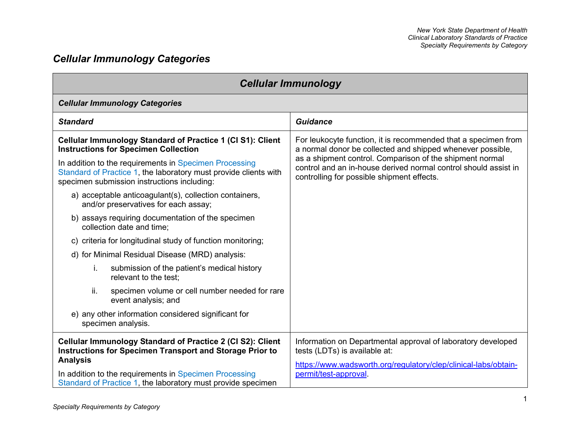# *Cellular Immunology Categories*

| <b>Cellular Immunology</b>                                                                                                                                                |                                                                                                                                                                           |
|---------------------------------------------------------------------------------------------------------------------------------------------------------------------------|---------------------------------------------------------------------------------------------------------------------------------------------------------------------------|
| <b>Cellular Immunology Categories</b>                                                                                                                                     |                                                                                                                                                                           |
| <b>Standard</b>                                                                                                                                                           | <b>Guidance</b>                                                                                                                                                           |
| Cellular Immunology Standard of Practice 1 (CI S1): Client<br><b>Instructions for Specimen Collection</b>                                                                 | For leukocyte function, it is recommended that a specimen from<br>a normal donor be collected and shipped whenever possible,                                              |
| In addition to the requirements in Specimen Processing<br>Standard of Practice 1, the laboratory must provide clients with<br>specimen submission instructions including: | as a shipment control. Comparison of the shipment normal<br>control and an in-house derived normal control should assist in<br>controlling for possible shipment effects. |
| a) acceptable anticoagulant(s), collection containers,<br>and/or preservatives for each assay;                                                                            |                                                                                                                                                                           |
| b) assays requiring documentation of the specimen<br>collection date and time;                                                                                            |                                                                                                                                                                           |
| c) criteria for longitudinal study of function monitoring;                                                                                                                |                                                                                                                                                                           |
| d) for Minimal Residual Disease (MRD) analysis:                                                                                                                           |                                                                                                                                                                           |
| submission of the patient's medical history<br>i.<br>relevant to the test;                                                                                                |                                                                                                                                                                           |
| ii.<br>specimen volume or cell number needed for rare<br>event analysis; and                                                                                              |                                                                                                                                                                           |
| e) any other information considered significant for<br>specimen analysis.                                                                                                 |                                                                                                                                                                           |
| Cellular Immunology Standard of Practice 2 (CI S2): Client<br><b>Instructions for Specimen Transport and Storage Prior to</b><br><b>Analysis</b>                          | Information on Departmental approval of laboratory developed<br>tests (LDTs) is available at:<br>https://www.wadsworth.org/regulatory/clep/clinical-labs/obtain-          |
| In addition to the requirements in Specimen Processing<br>Standard of Practice 1, the laboratory must provide specimen                                                    | permit/test-approval.                                                                                                                                                     |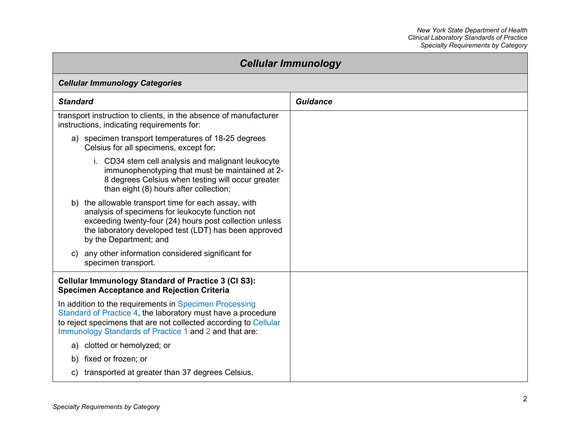| <b>Cellular Immunology</b>                                                                                                                                                                                                                             |                 |
|--------------------------------------------------------------------------------------------------------------------------------------------------------------------------------------------------------------------------------------------------------|-----------------|
| <b>Cellular Immunology Categories</b>                                                                                                                                                                                                                  |                 |
| <b>Standard</b>                                                                                                                                                                                                                                        | <b>Guidance</b> |
| transport instruction to clients, in the absence of manufacturer<br>instructions, indicating requirements for:                                                                                                                                         |                 |
| a) specimen transport temperatures of 18-25 degrees<br>Celsius for all specimens, except for:                                                                                                                                                          |                 |
| i. CD34 stem cell analysis and malignant leukocyte<br>immunophenotyping that must be maintained at 2-<br>8 degrees Celsius when testing will occur greater<br>than eight (8) hours after collection;                                                   |                 |
| b) the allowable transport time for each assay, with<br>analysis of specimens for leukocyte function not<br>exceeding twenty-four (24) hours post collection unless<br>the laboratory developed test (LDT) has been approved<br>by the Department; and |                 |
| c) any other information considered significant for<br>specimen transport.                                                                                                                                                                             |                 |
| <b>Cellular Immunology Standard of Practice 3 (CI S3):</b><br><b>Specimen Acceptance and Rejection Criteria</b>                                                                                                                                        |                 |
| In addition to the requirements in Specimen Processing<br>Standard of Practice 4, the laboratory must have a procedure<br>to reject specimens that are not collected according to Cellular<br>Immunology Standards of Practice 1 and 2 and that are:   |                 |
| clotted or hemolyzed; or<br>a)                                                                                                                                                                                                                         |                 |
| b) fixed or frozen; or                                                                                                                                                                                                                                 |                 |
| c) transported at greater than 37 degrees Celsius.                                                                                                                                                                                                     |                 |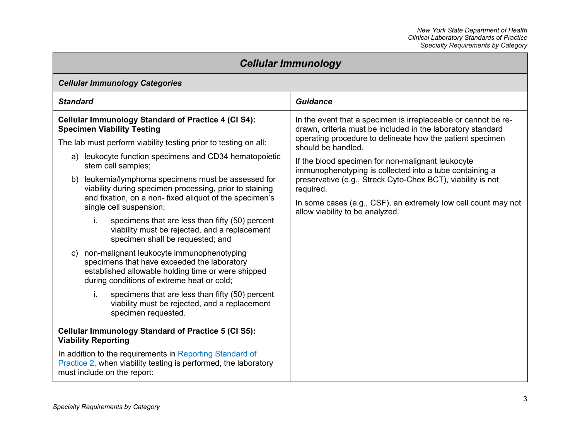| <b>Cellular Immunology</b>                                                                                                                                                                                                                                                                                                                                                                                                                                                                                                                                                                                                                                                                                                                                                                                        |                                                                                                                                                                                                                                                                                                                                                                                                                                                                                                                   |
|-------------------------------------------------------------------------------------------------------------------------------------------------------------------------------------------------------------------------------------------------------------------------------------------------------------------------------------------------------------------------------------------------------------------------------------------------------------------------------------------------------------------------------------------------------------------------------------------------------------------------------------------------------------------------------------------------------------------------------------------------------------------------------------------------------------------|-------------------------------------------------------------------------------------------------------------------------------------------------------------------------------------------------------------------------------------------------------------------------------------------------------------------------------------------------------------------------------------------------------------------------------------------------------------------------------------------------------------------|
| <b>Cellular Immunology Categories</b>                                                                                                                                                                                                                                                                                                                                                                                                                                                                                                                                                                                                                                                                                                                                                                             |                                                                                                                                                                                                                                                                                                                                                                                                                                                                                                                   |
| <b>Standard</b>                                                                                                                                                                                                                                                                                                                                                                                                                                                                                                                                                                                                                                                                                                                                                                                                   | <b>Guidance</b>                                                                                                                                                                                                                                                                                                                                                                                                                                                                                                   |
| <b>Cellular Immunology Standard of Practice 4 (CI S4):</b><br><b>Specimen Viability Testing</b><br>The lab must perform viability testing prior to testing on all:<br>a) leukocyte function specimens and CD34 hematopoietic<br>stem cell samples;<br>leukemia/lymphoma specimens must be assessed for<br>b)<br>viability during specimen processing, prior to staining<br>and fixation, on a non- fixed aliquot of the specimen's<br>single cell suspension;<br>i.<br>specimens that are less than fifty (50) percent<br>viability must be rejected, and a replacement<br>specimen shall be requested; and<br>non-malignant leukocyte immunophenotyping<br>C)<br>specimens that have exceeded the laboratory<br>established allowable holding time or were shipped<br>during conditions of extreme heat or cold; | In the event that a specimen is irreplaceable or cannot be re-<br>drawn, criteria must be included in the laboratory standard<br>operating procedure to delineate how the patient specimen<br>should be handled.<br>If the blood specimen for non-malignant leukocyte<br>immunophenotyping is collected into a tube containing a<br>preservative (e.g., Streck Cyto-Chex BCT), viability is not<br>required.<br>In some cases (e.g., CSF), an extremely low cell count may not<br>allow viability to be analyzed. |
| i.<br>specimens that are less than fifty (50) percent<br>viability must be rejected, and a replacement<br>specimen requested.                                                                                                                                                                                                                                                                                                                                                                                                                                                                                                                                                                                                                                                                                     |                                                                                                                                                                                                                                                                                                                                                                                                                                                                                                                   |
| <b>Cellular Immunology Standard of Practice 5 (CI S5):</b><br><b>Viability Reporting</b>                                                                                                                                                                                                                                                                                                                                                                                                                                                                                                                                                                                                                                                                                                                          |                                                                                                                                                                                                                                                                                                                                                                                                                                                                                                                   |
| In addition to the requirements in Reporting Standard of<br>Practice 2, when viability testing is performed, the laboratory<br>must include on the report:                                                                                                                                                                                                                                                                                                                                                                                                                                                                                                                                                                                                                                                        |                                                                                                                                                                                                                                                                                                                                                                                                                                                                                                                   |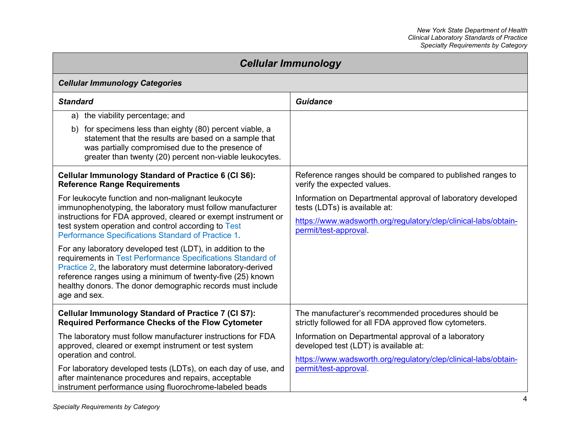| <b>Cellular Immunology</b>                                                                                                                                                                                                                                                                                                             |                                                                                                                |
|----------------------------------------------------------------------------------------------------------------------------------------------------------------------------------------------------------------------------------------------------------------------------------------------------------------------------------------|----------------------------------------------------------------------------------------------------------------|
| <b>Cellular Immunology Categories</b>                                                                                                                                                                                                                                                                                                  |                                                                                                                |
| <b>Standard</b>                                                                                                                                                                                                                                                                                                                        | <b>Guidance</b>                                                                                                |
| the viability percentage; and<br>a)                                                                                                                                                                                                                                                                                                    |                                                                                                                |
| for specimens less than eighty (80) percent viable, a<br>b)<br>statement that the results are based on a sample that<br>was partially compromised due to the presence of<br>greater than twenty (20) percent non-viable leukocytes.                                                                                                    |                                                                                                                |
| <b>Cellular Immunology Standard of Practice 6 (CI S6):</b><br><b>Reference Range Requirements</b>                                                                                                                                                                                                                                      | Reference ranges should be compared to published ranges to<br>verify the expected values.                      |
| For leukocyte function and non-malignant leukocyte<br>immunophenotyping, the laboratory must follow manufacturer                                                                                                                                                                                                                       | Information on Departmental approval of laboratory developed<br>tests (LDTs) is available at:                  |
| instructions for FDA approved, cleared or exempt instrument or<br>test system operation and control according to Test<br>Performance Specifications Standard of Practice 1.                                                                                                                                                            | https://www.wadsworth.org/regulatory/clep/clinical-labs/obtain-<br>permit/test-approval.                       |
| For any laboratory developed test (LDT), in addition to the<br>requirements in Test Performance Specifications Standard of<br>Practice 2, the laboratory must determine laboratory-derived<br>reference ranges using a minimum of twenty-five (25) known<br>healthy donors. The donor demographic records must include<br>age and sex. |                                                                                                                |
| <b>Cellular Immunology Standard of Practice 7 (CI S7):</b><br><b>Required Performance Checks of the Flow Cytometer</b>                                                                                                                                                                                                                 | The manufacturer's recommended procedures should be<br>strictly followed for all FDA approved flow cytometers. |
| The laboratory must follow manufacturer instructions for FDA<br>approved, cleared or exempt instrument or test system<br>operation and control.                                                                                                                                                                                        | Information on Departmental approval of a laboratory<br>developed test (LDT) is available at:                  |
| For laboratory developed tests (LDTs), on each day of use, and<br>after maintenance procedures and repairs, acceptable<br>instrument performance using fluorochrome-labeled beads                                                                                                                                                      | https://www.wadsworth.org/regulatory/clep/clinical-labs/obtain-<br>permit/test-approval.                       |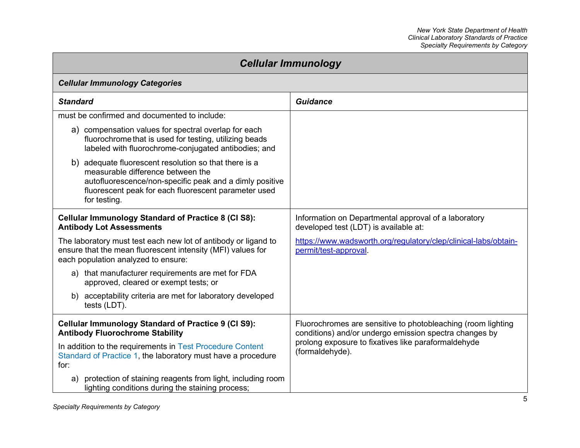| <b>Cellular Immunology</b>                                                                                                                                                                                                    |                                                                                                                        |
|-------------------------------------------------------------------------------------------------------------------------------------------------------------------------------------------------------------------------------|------------------------------------------------------------------------------------------------------------------------|
| <b>Cellular Immunology Categories</b>                                                                                                                                                                                         |                                                                                                                        |
| <b>Standard</b>                                                                                                                                                                                                               | <b>Guidance</b>                                                                                                        |
| must be confirmed and documented to include:                                                                                                                                                                                  |                                                                                                                        |
| a) compensation values for spectral overlap for each<br>fluorochrome that is used for testing, utilizing beads<br>labeled with fluorochrome-conjugated antibodies; and                                                        |                                                                                                                        |
| b) adequate fluorescent resolution so that there is a<br>measurable difference between the<br>autofluorescence/non-specific peak and a dimly positive<br>fluorescent peak for each fluorescent parameter used<br>for testing. |                                                                                                                        |
| <b>Cellular Immunology Standard of Practice 8 (CI S8):</b><br><b>Antibody Lot Assessments</b>                                                                                                                                 | Information on Departmental approval of a laboratory<br>developed test (LDT) is available at:                          |
| The laboratory must test each new lot of antibody or ligand to<br>ensure that the mean fluorescent intensity (MFI) values for<br>each population analyzed to ensure:                                                          | https://www.wadsworth.org/regulatory/clep/clinical-labs/obtain-<br>permit/test-approval.                               |
| a) that manufacturer requirements are met for FDA<br>approved, cleared or exempt tests; or                                                                                                                                    |                                                                                                                        |
| b) acceptability criteria are met for laboratory developed<br>tests (LDT).                                                                                                                                                    |                                                                                                                        |
| <b>Cellular Immunology Standard of Practice 9 (CI S9):</b><br><b>Antibody Fluorochrome Stability</b>                                                                                                                          | Fluorochromes are sensitive to photobleaching (room lighting<br>conditions) and/or undergo emission spectra changes by |
| In addition to the requirements in Test Procedure Content<br>Standard of Practice 1, the laboratory must have a procedure<br>for:                                                                                             | prolong exposure to fixatives like paraformaldehyde<br>(formaldehyde).                                                 |
| protection of staining reagents from light, including room<br>a)<br>lighting conditions during the staining process;                                                                                                          |                                                                                                                        |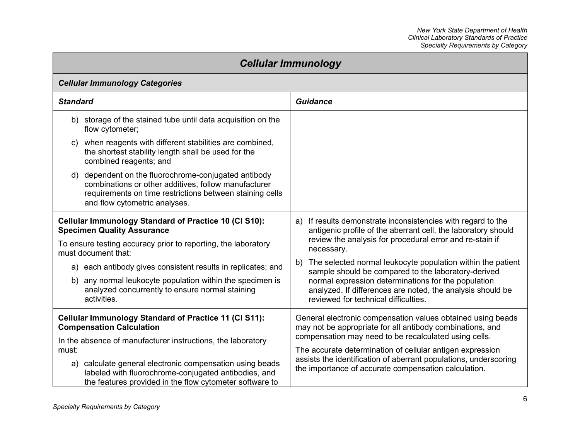| <b>Cellular Immunology</b>                                                                                                                                                                                   |                                                                                                                                                                                           |
|--------------------------------------------------------------------------------------------------------------------------------------------------------------------------------------------------------------|-------------------------------------------------------------------------------------------------------------------------------------------------------------------------------------------|
| <b>Cellular Immunology Categories</b>                                                                                                                                                                        |                                                                                                                                                                                           |
| <b>Standard</b>                                                                                                                                                                                              | <b>Guidance</b>                                                                                                                                                                           |
| b) storage of the stained tube until data acquisition on the<br>flow cytometer;                                                                                                                              |                                                                                                                                                                                           |
| when reagents with different stabilities are combined,<br>C)<br>the shortest stability length shall be used for the<br>combined reagents; and                                                                |                                                                                                                                                                                           |
| dependent on the fluorochrome-conjugated antibody<br>d)<br>combinations or other additives, follow manufacturer<br>requirements on time restrictions between staining cells<br>and flow cytometric analyses. |                                                                                                                                                                                           |
| Cellular Immunology Standard of Practice 10 (CI S10):<br><b>Specimen Quality Assurance</b><br>To ensure testing accuracy prior to reporting, the laboratory                                                  | a) If results demonstrate inconsistencies with regard to the<br>antigenic profile of the aberrant cell, the laboratory should<br>review the analysis for procedural error and re-stain if |
| must document that:<br>a) each antibody gives consistent results in replicates; and                                                                                                                          | necessary.<br>The selected normal leukocyte population within the patient<br>b)<br>sample should be compared to the laboratory-derived                                                    |
| b) any normal leukocyte population within the specimen is<br>analyzed concurrently to ensure normal staining<br>activities.                                                                                  | normal expression determinations for the population<br>analyzed. If differences are noted, the analysis should be<br>reviewed for technical difficulties.                                 |
| <b>Cellular Immunology Standard of Practice 11 (CI S11):</b><br><b>Compensation Calculation</b><br>In the absence of manufacturer instructions, the laboratory                                               | General electronic compensation values obtained using beads<br>may not be appropriate for all antibody combinations, and<br>compensation may need to be recalculated using cells.         |
| must:<br>a) calculate general electronic compensation using beads<br>labeled with fluorochrome-conjugated antibodies, and<br>the features provided in the flow cytometer software to                         | The accurate determination of cellular antigen expression<br>assists the identification of aberrant populations, underscoring<br>the importance of accurate compensation calculation.     |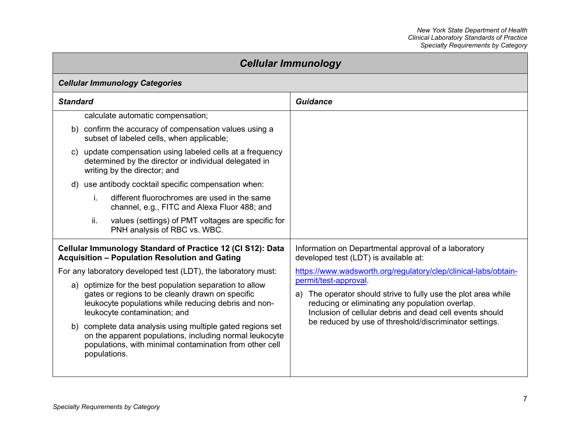| <b>Cellular Immunology</b>                                                                                                                                                                                                                                                                                                                                                                                                                                                                                                                                                                                                      |                                                                                                                                                                                                                                                                                                                                                                                                                                      |
|---------------------------------------------------------------------------------------------------------------------------------------------------------------------------------------------------------------------------------------------------------------------------------------------------------------------------------------------------------------------------------------------------------------------------------------------------------------------------------------------------------------------------------------------------------------------------------------------------------------------------------|--------------------------------------------------------------------------------------------------------------------------------------------------------------------------------------------------------------------------------------------------------------------------------------------------------------------------------------------------------------------------------------------------------------------------------------|
| <b>Cellular Immunology Categories</b>                                                                                                                                                                                                                                                                                                                                                                                                                                                                                                                                                                                           |                                                                                                                                                                                                                                                                                                                                                                                                                                      |
| <b>Standard</b>                                                                                                                                                                                                                                                                                                                                                                                                                                                                                                                                                                                                                 | <b>Guidance</b>                                                                                                                                                                                                                                                                                                                                                                                                                      |
| calculate automatic compensation;<br>b) confirm the accuracy of compensation values using a<br>subset of labeled cells, when applicable;<br>c) update compensation using labeled cells at a frequency<br>determined by the director or individual delegated in<br>writing by the director; and<br>use antibody cocktail specific compensation when:<br>d)<br>different fluorochromes are used in the same<br>j.<br>channel, e.g., FITC and Alexa Fluor 488; and<br>ii.<br>values (settings) of PMT voltages are specific for                                                                                                    |                                                                                                                                                                                                                                                                                                                                                                                                                                      |
| PNH analysis of RBC vs. WBC.<br>Cellular Immunology Standard of Practice 12 (CI S12): Data<br><b>Acquisition - Population Resolution and Gating</b><br>For any laboratory developed test (LDT), the laboratory must:<br>a) optimize for the best population separation to allow<br>gates or regions to be cleanly drawn on specific<br>leukocyte populations while reducing debris and non-<br>leukocyte contamination; and<br>b) complete data analysis using multiple gated regions set<br>on the apparent populations, including normal leukocyte<br>populations, with minimal contamination from other cell<br>populations. | Information on Departmental approval of a laboratory<br>developed test (LDT) is available at:<br>https://www.wadsworth.org/regulatory/clep/clinical-labs/obtain-<br>permit/test-approval.<br>a) The operator should strive to fully use the plot area while<br>reducing or eliminating any population overlap.<br>Inclusion of cellular debris and dead cell events should<br>be reduced by use of threshold/discriminator settings. |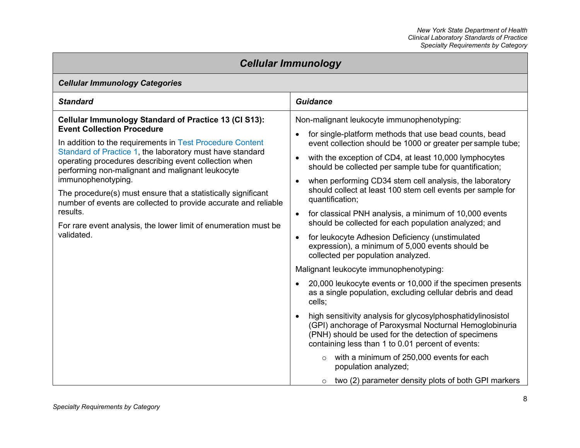| <b>Cellular Immunology</b>                                                                                                                                                                                                                                                                                                                                                                                                                                                                                                                                                                      |                                                                                                                                                                                                                                                                                                                                                                                                                                                                                                                                                                                                                                                                                                                                                                                                                                                                                                                                                                                                                                                                                                                                                                                                                                                                                                                                                            |  |
|-------------------------------------------------------------------------------------------------------------------------------------------------------------------------------------------------------------------------------------------------------------------------------------------------------------------------------------------------------------------------------------------------------------------------------------------------------------------------------------------------------------------------------------------------------------------------------------------------|------------------------------------------------------------------------------------------------------------------------------------------------------------------------------------------------------------------------------------------------------------------------------------------------------------------------------------------------------------------------------------------------------------------------------------------------------------------------------------------------------------------------------------------------------------------------------------------------------------------------------------------------------------------------------------------------------------------------------------------------------------------------------------------------------------------------------------------------------------------------------------------------------------------------------------------------------------------------------------------------------------------------------------------------------------------------------------------------------------------------------------------------------------------------------------------------------------------------------------------------------------------------------------------------------------------------------------------------------------|--|
| <b>Cellular Immunology Categories</b>                                                                                                                                                                                                                                                                                                                                                                                                                                                                                                                                                           |                                                                                                                                                                                                                                                                                                                                                                                                                                                                                                                                                                                                                                                                                                                                                                                                                                                                                                                                                                                                                                                                                                                                                                                                                                                                                                                                                            |  |
| <b>Standard</b>                                                                                                                                                                                                                                                                                                                                                                                                                                                                                                                                                                                 | <b>Guidance</b>                                                                                                                                                                                                                                                                                                                                                                                                                                                                                                                                                                                                                                                                                                                                                                                                                                                                                                                                                                                                                                                                                                                                                                                                                                                                                                                                            |  |
| <b>Cellular Immunology Standard of Practice 13 (CI S13):</b><br><b>Event Collection Procedure</b><br>In addition to the requirements in Test Procedure Content<br>Standard of Practice 1, the laboratory must have standard<br>operating procedures describing event collection when<br>performing non-malignant and malignant leukocyte<br>immunophenotyping.<br>The procedure(s) must ensure that a statistically significant<br>number of events are collected to provide accurate and reliable<br>results.<br>For rare event analysis, the lower limit of enumeration must be<br>validated. | Non-malignant leukocyte immunophenotyping:<br>for single-platform methods that use bead counts, bead<br>event collection should be 1000 or greater per sample tube;<br>with the exception of CD4, at least 10,000 lymphocytes<br>$\bullet$<br>should be collected per sample tube for quantification;<br>when performing CD34 stem cell analysis, the laboratory<br>$\bullet$<br>should collect at least 100 stem cell events per sample for<br>quantification;<br>for classical PNH analysis, a minimum of 10,000 events<br>$\bullet$<br>should be collected for each population analyzed; and<br>for leukocyte Adhesion Deficiency (unstimulated<br>$\bullet$<br>expression), a minimum of 5,000 events should be<br>collected per population analyzed.<br>Malignant leukocyte immunophenotyping:<br>20,000 leukocyte events or 10,000 if the specimen presents<br>$\bullet$<br>as a single population, excluding cellular debris and dead<br>cells;<br>high sensitivity analysis for glycosylphosphatidylinosistol<br>$\bullet$<br>(GPI) anchorage of Paroxysmal Nocturnal Hemoglobinuria<br>(PNH) should be used for the detection of specimens<br>containing less than 1 to 0.01 percent of events:<br>with a minimum of 250,000 events for each<br>$\circ$<br>population analyzed;<br>two (2) parameter density plots of both GPI markers<br>$\circ$ |  |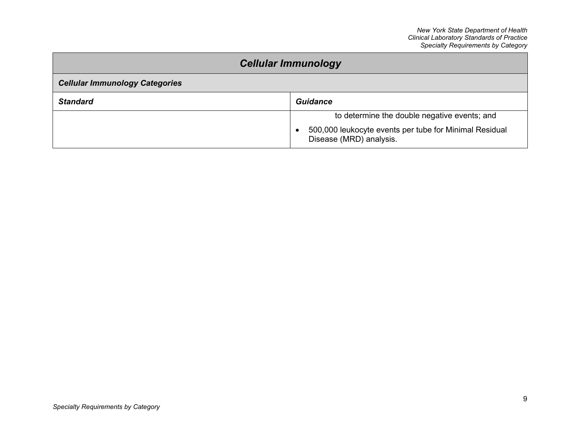| <b>Cellular Immunology</b>            |                                                                                                                                                |
|---------------------------------------|------------------------------------------------------------------------------------------------------------------------------------------------|
| <b>Cellular Immunology Categories</b> |                                                                                                                                                |
| <b>Standard</b>                       | <b>Guidance</b>                                                                                                                                |
|                                       | to determine the double negative events; and<br>500,000 leukocyte events per tube for Minimal Residual<br>$\bullet$<br>Disease (MRD) analysis. |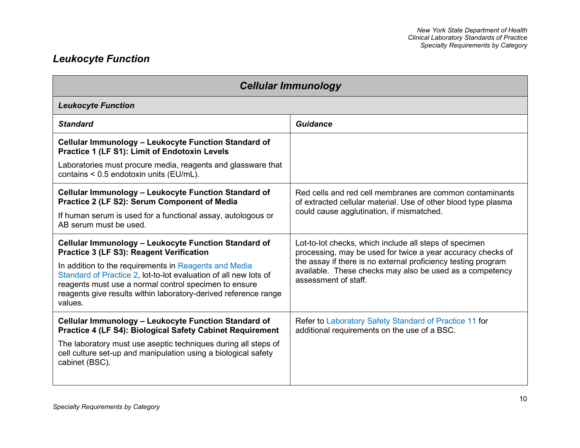# *Leukocyte Function*

| <b>Cellular Immunology</b>                                                                                                                                                                                                                                                                                                                                           |                                                                                                                                                                                                                                                                            |
|----------------------------------------------------------------------------------------------------------------------------------------------------------------------------------------------------------------------------------------------------------------------------------------------------------------------------------------------------------------------|----------------------------------------------------------------------------------------------------------------------------------------------------------------------------------------------------------------------------------------------------------------------------|
| <b>Leukocyte Function</b>                                                                                                                                                                                                                                                                                                                                            |                                                                                                                                                                                                                                                                            |
| <b>Standard</b>                                                                                                                                                                                                                                                                                                                                                      | Guidance                                                                                                                                                                                                                                                                   |
| Cellular Immunology - Leukocyte Function Standard of<br><b>Practice 1 (LF S1): Limit of Endotoxin Levels</b>                                                                                                                                                                                                                                                         |                                                                                                                                                                                                                                                                            |
| Laboratories must procure media, reagents and glassware that<br>contains < 0.5 endotoxin units (EU/mL).                                                                                                                                                                                                                                                              |                                                                                                                                                                                                                                                                            |
| Cellular Immunology - Leukocyte Function Standard of<br>Practice 2 (LF S2): Serum Component of Media<br>If human serum is used for a functional assay, autologous or<br>AB serum must be used.                                                                                                                                                                       | Red cells and red cell membranes are common contaminants<br>of extracted cellular material. Use of other blood type plasma<br>could cause agglutination, if mismatched.                                                                                                    |
| Cellular Immunology - Leukocyte Function Standard of<br>Practice 3 (LF S3): Reagent Verification<br>In addition to the requirements in Reagents and Media<br>Standard of Practice 2, lot-to-lot evaluation of all new lots of<br>reagents must use a normal control specimen to ensure<br>reagents give results within laboratory-derived reference range<br>values. | Lot-to-lot checks, which include all steps of specimen<br>processing, may be used for twice a year accuracy checks of<br>the assay if there is no external proficiency testing program<br>available. These checks may also be used as a competency<br>assessment of staff. |
| Cellular Immunology - Leukocyte Function Standard of<br><b>Practice 4 (LF S4): Biological Safety Cabinet Requirement</b><br>The laboratory must use aseptic techniques during all steps of<br>cell culture set-up and manipulation using a biological safety<br>cabinet (BSC).                                                                                       | Refer to Laboratory Safety Standard of Practice 11 for<br>additional requirements on the use of a BSC.                                                                                                                                                                     |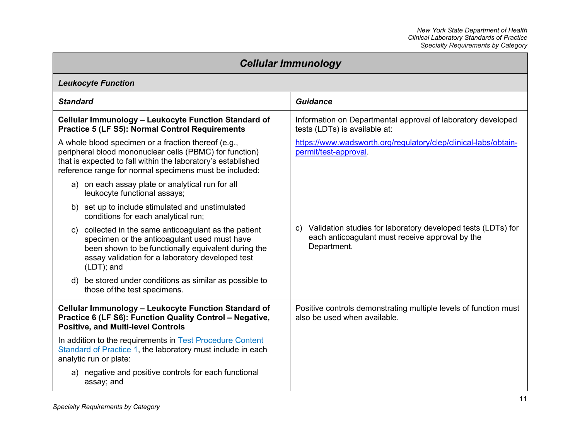| <b>Cellular Immunology</b>                                                                                                                                                                                                               |                                                                                                                                      |
|------------------------------------------------------------------------------------------------------------------------------------------------------------------------------------------------------------------------------------------|--------------------------------------------------------------------------------------------------------------------------------------|
| <b>Leukocyte Function</b>                                                                                                                                                                                                                |                                                                                                                                      |
| <b>Standard</b>                                                                                                                                                                                                                          | <b>Guidance</b>                                                                                                                      |
| Cellular Immunology - Leukocyte Function Standard of<br><b>Practice 5 (LF S5): Normal Control Requirements</b>                                                                                                                           | Information on Departmental approval of laboratory developed<br>tests (LDTs) is available at:                                        |
| A whole blood specimen or a fraction thereof (e.g.,<br>peripheral blood mononuclear cells (PBMC) for function)<br>that is expected to fall within the laboratory's established<br>reference range for normal specimens must be included: | https://www.wadsworth.org/regulatory/clep/clinical-labs/obtain-<br>permit/test-approval.                                             |
| a) on each assay plate or analytical run for all<br>leukocyte functional assays;                                                                                                                                                         |                                                                                                                                      |
| b) set up to include stimulated and unstimulated<br>conditions for each analytical run;                                                                                                                                                  |                                                                                                                                      |
| collected in the same anticoagulant as the patient<br>C)<br>specimen or the anticoagulant used must have<br>been shown to be functionally equivalent during the<br>assay validation for a laboratory developed test<br>(LDT); and        | Validation studies for laboratory developed tests (LDTs) for<br>C)<br>each anticoagulant must receive approval by the<br>Department. |
| d) be stored under conditions as similar as possible to<br>those of the test specimens.                                                                                                                                                  |                                                                                                                                      |
| Cellular Immunology - Leukocyte Function Standard of<br>Practice 6 (LF S6): Function Quality Control - Negative,<br><b>Positive, and Multi-level Controls</b>                                                                            | Positive controls demonstrating multiple levels of function must<br>also be used when available.                                     |
| In addition to the requirements in Test Procedure Content<br>Standard of Practice 1, the laboratory must include in each<br>analytic run or plate:                                                                                       |                                                                                                                                      |
| a) negative and positive controls for each functional<br>assay; and                                                                                                                                                                      |                                                                                                                                      |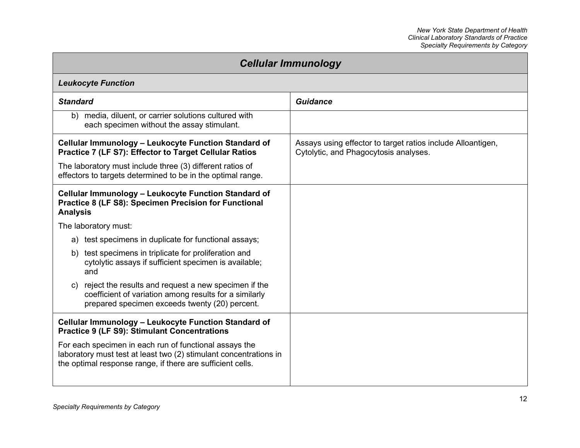| <b>Cellular Immunology</b>                                                                                                                                                                |                                                                                                      |
|-------------------------------------------------------------------------------------------------------------------------------------------------------------------------------------------|------------------------------------------------------------------------------------------------------|
| <b>Leukocyte Function</b>                                                                                                                                                                 |                                                                                                      |
| <b>Standard</b>                                                                                                                                                                           | <b>Guidance</b>                                                                                      |
| b) media, diluent, or carrier solutions cultured with<br>each specimen without the assay stimulant.                                                                                       |                                                                                                      |
| Cellular Immunology - Leukocyte Function Standard of<br>Practice 7 (LF S7): Effector to Target Cellular Ratios<br>The laboratory must include three (3) different ratios of               | Assays using effector to target ratios include Alloantigen,<br>Cytolytic, and Phagocytosis analyses. |
| effectors to targets determined to be in the optimal range.<br>Cellular Immunology - Leukocyte Function Standard of                                                                       |                                                                                                      |
| Practice 8 (LF S8): Specimen Precision for Functional<br><b>Analysis</b>                                                                                                                  |                                                                                                      |
| The laboratory must:                                                                                                                                                                      |                                                                                                      |
| a) test specimens in duplicate for functional assays;                                                                                                                                     |                                                                                                      |
| test specimens in triplicate for proliferation and<br>b)<br>cytolytic assays if sufficient specimen is available;<br>and                                                                  |                                                                                                      |
| c) reject the results and request a new specimen if the<br>coefficient of variation among results for a similarly<br>prepared specimen exceeds twenty (20) percent.                       |                                                                                                      |
| Cellular Immunology - Leukocyte Function Standard of<br><b>Practice 9 (LF S9): Stimulant Concentrations</b>                                                                               |                                                                                                      |
| For each specimen in each run of functional assays the<br>laboratory must test at least two (2) stimulant concentrations in<br>the optimal response range, if there are sufficient cells. |                                                                                                      |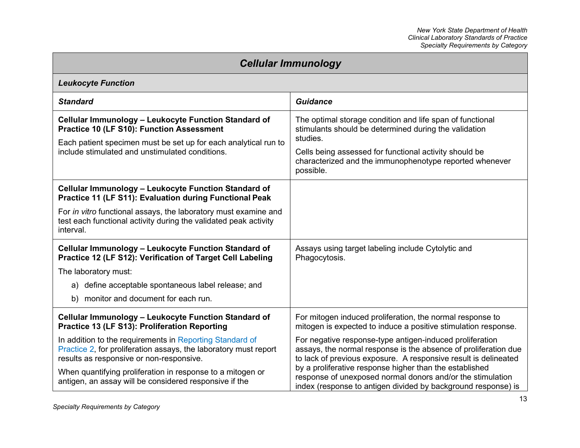| <b>Cellular Immunology</b>                                                                                                                                                                                                     |                                                                                                                                                                                                                                                                  |
|--------------------------------------------------------------------------------------------------------------------------------------------------------------------------------------------------------------------------------|------------------------------------------------------------------------------------------------------------------------------------------------------------------------------------------------------------------------------------------------------------------|
| <b>Leukocyte Function</b>                                                                                                                                                                                                      |                                                                                                                                                                                                                                                                  |
| <b>Standard</b>                                                                                                                                                                                                                | <b>Guidance</b>                                                                                                                                                                                                                                                  |
| Cellular Immunology - Leukocyte Function Standard of<br><b>Practice 10 (LF S10): Function Assessment</b><br>Each patient specimen must be set up for each analytical run to<br>include stimulated and unstimulated conditions. | The optimal storage condition and life span of functional<br>stimulants should be determined during the validation<br>studies.<br>Cells being assessed for functional activity should be<br>characterized and the immunophenotype reported whenever<br>possible. |
| Cellular Immunology - Leukocyte Function Standard of<br><b>Practice 11 (LF S11): Evaluation during Functional Peak</b>                                                                                                         |                                                                                                                                                                                                                                                                  |
| For in vitro functional assays, the laboratory must examine and<br>test each functional activity during the validated peak activity<br>interval.                                                                               |                                                                                                                                                                                                                                                                  |
| Cellular Immunology – Leukocyte Function Standard of<br>Practice 12 (LF S12): Verification of Target Cell Labeling                                                                                                             | Assays using target labeling include Cytolytic and<br>Phagocytosis.                                                                                                                                                                                              |
| The laboratory must:                                                                                                                                                                                                           |                                                                                                                                                                                                                                                                  |
| a) define acceptable spontaneous label release; and                                                                                                                                                                            |                                                                                                                                                                                                                                                                  |
| b) monitor and document for each run.                                                                                                                                                                                          |                                                                                                                                                                                                                                                                  |
| Cellular Immunology - Leukocyte Function Standard of<br>Practice 13 (LF S13): Proliferation Reporting                                                                                                                          | For mitogen induced proliferation, the normal response to<br>mitogen is expected to induce a positive stimulation response.                                                                                                                                      |
| In addition to the requirements in Reporting Standard of<br>Practice 2, for proliferation assays, the laboratory must report<br>results as responsive or non-responsive.                                                       | For negative response-type antigen-induced proliferation<br>assays, the normal response is the absence of proliferation due<br>to lack of previous exposure. A responsive result is delineated                                                                   |
| When quantifying proliferation in response to a mitogen or<br>antigen, an assay will be considered responsive if the                                                                                                           | by a proliferative response higher than the established<br>response of unexposed normal donors and/or the stimulation<br>index (response to antigen divided by background response) is                                                                           |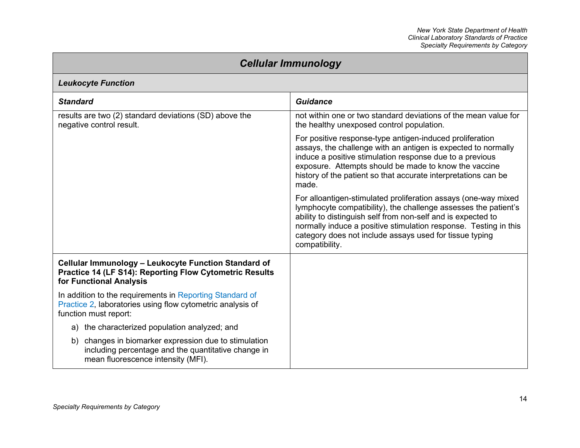| <b>Cellular Immunology</b>                                                                                                                         |                                                                                                                                                                                                                                                                                                                                                    |
|----------------------------------------------------------------------------------------------------------------------------------------------------|----------------------------------------------------------------------------------------------------------------------------------------------------------------------------------------------------------------------------------------------------------------------------------------------------------------------------------------------------|
| <b>Leukocyte Function</b>                                                                                                                          |                                                                                                                                                                                                                                                                                                                                                    |
| <b>Standard</b>                                                                                                                                    | <b>Guidance</b>                                                                                                                                                                                                                                                                                                                                    |
| results are two (2) standard deviations (SD) above the<br>negative control result.                                                                 | not within one or two standard deviations of the mean value for<br>the healthy unexposed control population.                                                                                                                                                                                                                                       |
|                                                                                                                                                    | For positive response-type antigen-induced proliferation<br>assays, the challenge with an antigen is expected to normally<br>induce a positive stimulation response due to a previous<br>exposure. Attempts should be made to know the vaccine<br>history of the patient so that accurate interpretations can be<br>made.                          |
|                                                                                                                                                    | For alloantigen-stimulated proliferation assays (one-way mixed<br>lymphocyte compatibility), the challenge assesses the patient's<br>ability to distinguish self from non-self and is expected to<br>normally induce a positive stimulation response. Testing in this<br>category does not include assays used for tissue typing<br>compatibility. |
| Cellular Immunology - Leukocyte Function Standard of<br><b>Practice 14 (LF S14): Reporting Flow Cytometric Results</b><br>for Functional Analysis  |                                                                                                                                                                                                                                                                                                                                                    |
| In addition to the requirements in Reporting Standard of<br>Practice 2, laboratories using flow cytometric analysis of<br>function must report:    |                                                                                                                                                                                                                                                                                                                                                    |
| a) the characterized population analyzed; and                                                                                                      |                                                                                                                                                                                                                                                                                                                                                    |
| b) changes in biomarker expression due to stimulation<br>including percentage and the quantitative change in<br>mean fluorescence intensity (MFI). |                                                                                                                                                                                                                                                                                                                                                    |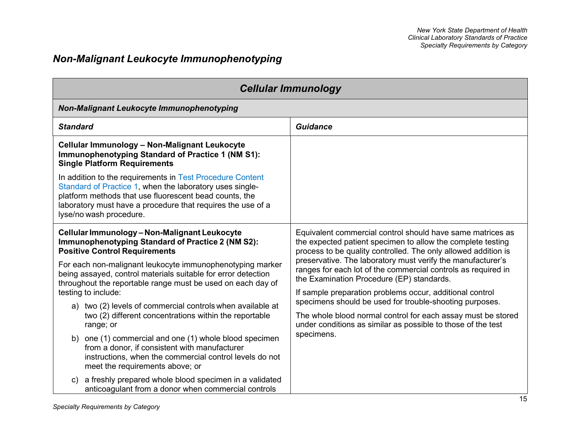# *Non-Malignant Leukocyte Immunophenotyping*

| <b>Cellular Immunology</b>                                                                                                                                                                                                                                                |                                                                                                                                                                                             |  |
|---------------------------------------------------------------------------------------------------------------------------------------------------------------------------------------------------------------------------------------------------------------------------|---------------------------------------------------------------------------------------------------------------------------------------------------------------------------------------------|--|
| Non-Malignant Leukocyte Immunophenotyping                                                                                                                                                                                                                                 |                                                                                                                                                                                             |  |
| <b>Standard</b>                                                                                                                                                                                                                                                           | <b>Guidance</b>                                                                                                                                                                             |  |
| Cellular Immunology - Non-Malignant Leukocyte<br>Immunophenotyping Standard of Practice 1 (NM S1):<br><b>Single Platform Requirements</b>                                                                                                                                 |                                                                                                                                                                                             |  |
| In addition to the requirements in Test Procedure Content<br>Standard of Practice 1, when the laboratory uses single-<br>platform methods that use fluorescent bead counts, the<br>laboratory must have a procedure that requires the use of a<br>lyse/no wash procedure. |                                                                                                                                                                                             |  |
| Cellular Immunology - Non-Malignant Leukocyte<br><b>Immunophenotyping Standard of Practice 2 (NM S2):</b><br><b>Positive Control Requirements</b>                                                                                                                         | Equivalent commercial control should have same matrices as<br>the expected patient specimen to allow the complete testing<br>process to be quality controlled. The only allowed addition is |  |
| For each non-malignant leukocyte immunophenotyping marker<br>being assayed, control materials suitable for error detection<br>throughout the reportable range must be used on each day of                                                                                 | preservative. The laboratory must verify the manufacturer's<br>ranges for each lot of the commercial controls as required in<br>the Examination Procedure (EP) standards.                   |  |
| testing to include:                                                                                                                                                                                                                                                       | If sample preparation problems occur, additional control<br>specimens should be used for trouble-shooting purposes.                                                                         |  |
| a) two (2) levels of commercial controls when available at<br>two (2) different concentrations within the reportable<br>range; or                                                                                                                                         | The whole blood normal control for each assay must be stored<br>under conditions as similar as possible to those of the test                                                                |  |
| b) one (1) commercial and one (1) whole blood specimen<br>from a donor, if consistent with manufacturer<br>instructions, when the commercial control levels do not<br>meet the requirements above; or                                                                     | specimens.                                                                                                                                                                                  |  |
| a freshly prepared whole blood specimen in a validated<br>c)<br>anticoagulant from a donor when commercial controls                                                                                                                                                       |                                                                                                                                                                                             |  |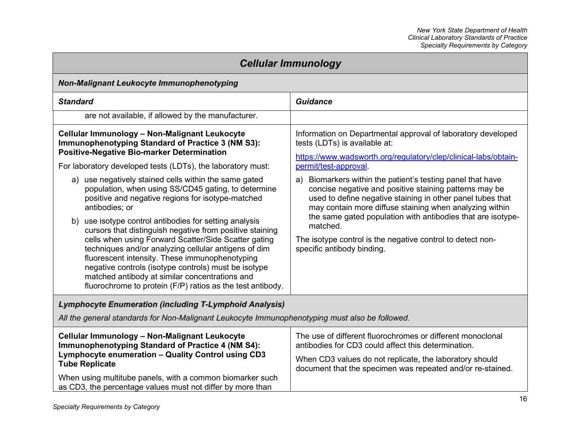| <b>Cellular Immunology</b>                                                                                                                                                                                                                                                                                                                                                                                                                                      |                                                                                                                                                                                                                                                  |
|-----------------------------------------------------------------------------------------------------------------------------------------------------------------------------------------------------------------------------------------------------------------------------------------------------------------------------------------------------------------------------------------------------------------------------------------------------------------|--------------------------------------------------------------------------------------------------------------------------------------------------------------------------------------------------------------------------------------------------|
| <b>Non-Malignant Leukocyte Immunophenotyping</b>                                                                                                                                                                                                                                                                                                                                                                                                                |                                                                                                                                                                                                                                                  |
| <b>Standard</b>                                                                                                                                                                                                                                                                                                                                                                                                                                                 | <b>Guidance</b>                                                                                                                                                                                                                                  |
| are not available, if allowed by the manufacturer.                                                                                                                                                                                                                                                                                                                                                                                                              |                                                                                                                                                                                                                                                  |
| <b>Cellular Immunology - Non-Malignant Leukocyte</b><br><b>Immunophenotyping Standard of Practice 3 (NM S3):</b><br><b>Positive-Negative Bio-marker Determination</b>                                                                                                                                                                                                                                                                                           | Information on Departmental approval of laboratory developed<br>tests (LDTs) is available at:<br>https://www.wadsworth.org/regulatory/clep/clinical-labs/obtain-                                                                                 |
| For laboratory developed tests (LDTs), the laboratory must:                                                                                                                                                                                                                                                                                                                                                                                                     | permit/test-approval                                                                                                                                                                                                                             |
| a) use negatively stained cells within the same gated<br>population, when using SS/CD45 gating, to determine<br>positive and negative regions for isotype-matched<br>antibodies; or                                                                                                                                                                                                                                                                             | Biomarkers within the patient's testing panel that have<br>a)<br>concise negative and positive staining patterns may be<br>used to define negative staining in other panel tubes that<br>may contain more diffuse staining when analyzing within |
| use isotype control antibodies for setting analysis<br>b)<br>cursors that distinguish negative from positive staining<br>cells when using Forward Scatter/Side Scatter gating<br>techniques and/or analyzing cellular antigens of dim<br>fluorescent intensity. These immunophenotyping<br>negative controls (isotype controls) must be isotype<br>matched antibody at similar concentrations and<br>fluorochrome to protein (F/P) ratios as the test antibody. | the same gated population with antibodies that are isotype-<br>matched.<br>The isotype control is the negative control to detect non-<br>specific antibody binding.                                                                              |
| <b>Lymphocyte Enumeration (including T-Lymphoid Analysis)</b>                                                                                                                                                                                                                                                                                                                                                                                                   |                                                                                                                                                                                                                                                  |
| All the general standards for Non-Malignant Leukocyte Immunophenotyping must also be followed.                                                                                                                                                                                                                                                                                                                                                                  |                                                                                                                                                                                                                                                  |

| <b>Cellular Immunology - Non-Malignant Leukocyte</b><br>Immunophenotyping Standard of Practice 4 (NM S4):<br>Lymphocyte enumeration - Quality Control using CD3<br><b>Tube Replicate</b> | The use of different fluorochromes or different monoclonal<br>antibodies for CD3 could affect this determination.<br>When CD3 values do not replicate, the laboratory should<br>document that the specimen was repeated and/or re-stained. |
|------------------------------------------------------------------------------------------------------------------------------------------------------------------------------------------|--------------------------------------------------------------------------------------------------------------------------------------------------------------------------------------------------------------------------------------------|
| When using multitube panels, with a common biomarker such                                                                                                                                |                                                                                                                                                                                                                                            |
| as CD3, the percentage values must not differ by more than                                                                                                                               |                                                                                                                                                                                                                                            |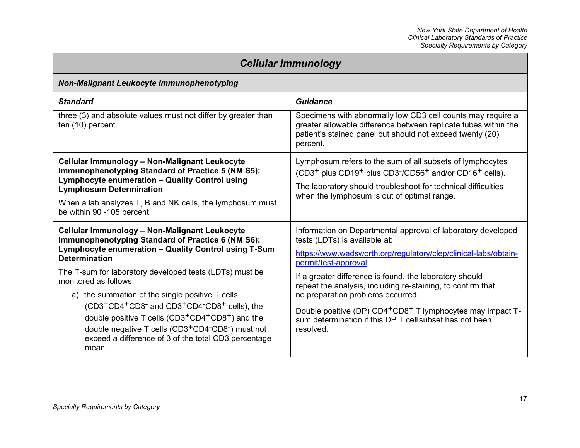| <b>Cellular Immunology</b>                                                                                                                                                                                                                                                                                                                                                             |                                                                                                                                                                                                                                                                                                 |
|----------------------------------------------------------------------------------------------------------------------------------------------------------------------------------------------------------------------------------------------------------------------------------------------------------------------------------------------------------------------------------------|-------------------------------------------------------------------------------------------------------------------------------------------------------------------------------------------------------------------------------------------------------------------------------------------------|
| <b>Non-Malignant Leukocyte Immunophenotyping</b>                                                                                                                                                                                                                                                                                                                                       |                                                                                                                                                                                                                                                                                                 |
| <b>Standard</b>                                                                                                                                                                                                                                                                                                                                                                        | Guidance                                                                                                                                                                                                                                                                                        |
| three (3) and absolute values must not differ by greater than<br>ten (10) percent.                                                                                                                                                                                                                                                                                                     | Specimens with abnormally low CD3 cell counts may require a<br>greater allowable difference between replicate tubes within the<br>patient's stained panel but should not exceed twenty (20)<br>percent.                                                                                         |
| Cellular Immunology - Non-Malignant Leukocyte<br><b>Immunophenotyping Standard of Practice 5 (NM S5):</b><br><b>Lymphocyte enumeration - Quality Control using</b><br><b>Lymphosum Determination</b><br>When a lab analyzes T, B and NK cells, the lymphosum must<br>be within 90 -105 percent.                                                                                        | Lymphosum refers to the sum of all subsets of lymphocytes<br>(CD3 <sup>+</sup> plus CD19 <sup>+</sup> plus CD3 <sup>-</sup> /CD56 <sup>+</sup> and/or CD16 <sup>+</sup> cells).<br>The laboratory should troubleshoot for technical difficulties<br>when the lymphosum is out of optimal range. |
| Cellular Immunology - Non-Malignant Leukocyte<br>Immunophenotyping Standard of Practice 6 (NM S6):<br>Lymphocyte enumeration - Quality Control using T-Sum<br><b>Determination</b><br>The T-sum for laboratory developed tests (LDTs) must be<br>monitored as follows:                                                                                                                 | Information on Departmental approval of laboratory developed<br>tests (LDTs) is available at:<br>https://www.wadsworth.org/regulatory/clep/clinical-labs/obtain-<br>permit/test-approval.<br>If a greater difference is found, the laboratory should                                            |
| a) the summation of the single positive T cells<br>(CD3 <sup>+</sup> CD4 <sup>+</sup> CD8 <sup>-</sup> and CD3 <sup>+</sup> CD4 <sup>-</sup> CD8 <sup>+</sup> cells), the<br>double positive T cells (CD3 <sup>+</sup> CD4 <sup>+</sup> CD8 <sup>+</sup> ) and the<br>double negative T cells (CD3+CD4-CD8-) must not<br>exceed a difference of 3 of the total CD3 percentage<br>mean. | repeat the analysis, including re-staining, to confirm that<br>no preparation problems occurred.<br>Double positive (DP) CD4 <sup>+</sup> CD8 <sup>+</sup> T lymphocytes may impact T-<br>sum determination if this DP T cell subset has not been<br>resolved.                                  |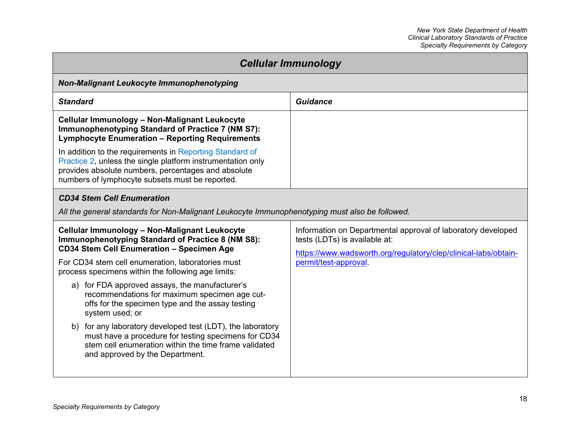| <b>Cellular Immunology</b>                                                                                                                                                                                                        |                                                                                                                                                                  |  |
|-----------------------------------------------------------------------------------------------------------------------------------------------------------------------------------------------------------------------------------|------------------------------------------------------------------------------------------------------------------------------------------------------------------|--|
| Non-Malignant Leukocyte Immunophenotyping                                                                                                                                                                                         |                                                                                                                                                                  |  |
| <b>Standard</b>                                                                                                                                                                                                                   | Guidance                                                                                                                                                         |  |
| Cellular Immunology - Non-Malignant Leukocyte<br>Immunophenotyping Standard of Practice 7 (NM S7):<br><b>Lymphocyte Enumeration - Reporting Requirements</b>                                                                      |                                                                                                                                                                  |  |
| In addition to the requirements in Reporting Standard of<br>Practice 2, unless the single platform instrumentation only<br>provides absolute numbers, percentages and absolute<br>numbers of lymphocyte subsets must be reported. |                                                                                                                                                                  |  |
| <b>CD34 Stem Cell Enumeration</b>                                                                                                                                                                                                 |                                                                                                                                                                  |  |
| All the general standards for Non-Malignant Leukocyte Immunophenotyping must also be followed.                                                                                                                                    |                                                                                                                                                                  |  |
| Cellular Immunology - Non-Malignant Leukocyte<br>Immunophenotyping Standard of Practice 8 (NM S8):<br><b>CD34 Stem Cell Enumeration - Specimen Age</b>                                                                            | Information on Departmental approval of laboratory developed<br>tests (LDTs) is available at:<br>https://www.wadsworth.org/regulatory/clep/clinical-labs/obtain- |  |
| For CD34 stem cell enumeration, laboratories must<br>process specimens within the following age limits:                                                                                                                           | permit/test-approval.                                                                                                                                            |  |
| a) for FDA approved assays, the manufacturer's<br>recommendations for maximum specimen age cut-<br>offs for the specimen type and the assay testing<br>system used; or                                                            |                                                                                                                                                                  |  |
| b) for any laboratory developed test (LDT), the laboratory<br>must have a procedure for testing specimens for CD34<br>stem cell enumeration within the time frame validated<br>and approved by the Department.                    |                                                                                                                                                                  |  |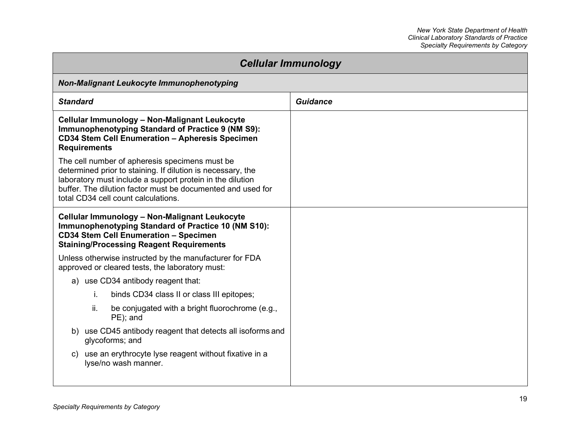| <b>Cellular Immunology</b>                                                                                                                                                                                                                                                       |          |
|----------------------------------------------------------------------------------------------------------------------------------------------------------------------------------------------------------------------------------------------------------------------------------|----------|
| Non-Malignant Leukocyte Immunophenotyping                                                                                                                                                                                                                                        |          |
| <b>Standard</b>                                                                                                                                                                                                                                                                  | Guidance |
| Cellular Immunology - Non-Malignant Leukocyte<br>Immunophenotyping Standard of Practice 9 (NM S9):<br><b>CD34 Stem Cell Enumeration - Apheresis Specimen</b><br><b>Requirements</b>                                                                                              |          |
| The cell number of apheresis specimens must be<br>determined prior to staining. If dilution is necessary, the<br>laboratory must include a support protein in the dilution<br>buffer. The dilution factor must be documented and used for<br>total CD34 cell count calculations. |          |
| Cellular Immunology - Non-Malignant Leukocyte<br>Immunophenotyping Standard of Practice 10 (NM S10):<br><b>CD34 Stem Cell Enumeration - Specimen</b><br><b>Staining/Processing Reagent Requirements</b>                                                                          |          |
| Unless otherwise instructed by the manufacturer for FDA<br>approved or cleared tests, the laboratory must:                                                                                                                                                                       |          |
| a) use CD34 antibody reagent that:                                                                                                                                                                                                                                               |          |
| binds CD34 class II or class III epitopes;<br>j.                                                                                                                                                                                                                                 |          |
| ii.<br>be conjugated with a bright fluorochrome (e.g.,<br>PE); and                                                                                                                                                                                                               |          |
| b) use CD45 antibody reagent that detects all isoforms and<br>glycoforms; and                                                                                                                                                                                                    |          |
| c) use an erythrocyte lyse reagent without fixative in a<br>lyse/no wash manner.                                                                                                                                                                                                 |          |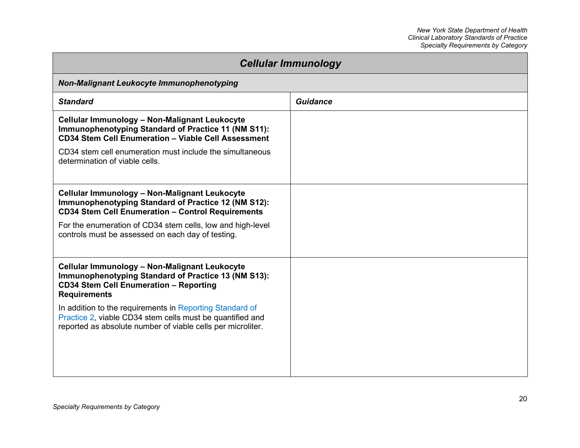| <b>Cellular Immunology</b>                                                                                                                                                           |                 |
|--------------------------------------------------------------------------------------------------------------------------------------------------------------------------------------|-----------------|
| <b>Non-Malignant Leukocyte Immunophenotyping</b>                                                                                                                                     |                 |
| <b>Standard</b>                                                                                                                                                                      | <b>Guidance</b> |
| Cellular Immunology - Non-Malignant Leukocyte<br>Immunophenotyping Standard of Practice 11 (NM S11):<br><b>CD34 Stem Cell Enumeration - Viable Cell Assessment</b>                   |                 |
| CD34 stem cell enumeration must include the simultaneous<br>determination of viable cells.                                                                                           |                 |
| Cellular Immunology - Non-Malignant Leukocyte<br>Immunophenotyping Standard of Practice 12 (NM S12):<br><b>CD34 Stem Cell Enumeration - Control Requirements</b>                     |                 |
| For the enumeration of CD34 stem cells, low and high-level<br>controls must be assessed on each day of testing.                                                                      |                 |
| Cellular Immunology - Non-Malignant Leukocyte<br>Immunophenotyping Standard of Practice 13 (NM S13):<br><b>CD34 Stem Cell Enumeration - Reporting</b><br><b>Requirements</b>         |                 |
| In addition to the requirements in Reporting Standard of<br>Practice 2, viable CD34 stem cells must be quantified and<br>reported as absolute number of viable cells per microliter. |                 |
|                                                                                                                                                                                      |                 |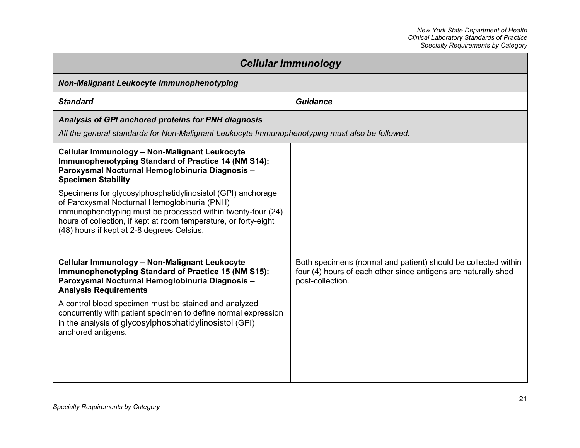| <b>Cellular Immunology</b>                                                                                                                                                                                                                                                                   |                                                                                                                                                      |
|----------------------------------------------------------------------------------------------------------------------------------------------------------------------------------------------------------------------------------------------------------------------------------------------|------------------------------------------------------------------------------------------------------------------------------------------------------|
| <b>Non-Malignant Leukocyte Immunophenotyping</b>                                                                                                                                                                                                                                             |                                                                                                                                                      |
| <b>Standard</b>                                                                                                                                                                                                                                                                              | <b>Guidance</b>                                                                                                                                      |
| Analysis of GPI anchored proteins for PNH diagnosis                                                                                                                                                                                                                                          |                                                                                                                                                      |
| All the general standards for Non-Malignant Leukocyte Immunophenotyping must also be followed.                                                                                                                                                                                               |                                                                                                                                                      |
| Cellular Immunology - Non-Malignant Leukocyte<br>Immunophenotyping Standard of Practice 14 (NM S14):<br>Paroxysmal Nocturnal Hemoglobinuria Diagnosis -<br><b>Specimen Stability</b>                                                                                                         |                                                                                                                                                      |
| Specimens for glycosylphosphatidylinosistol (GPI) anchorage<br>of Paroxysmal Nocturnal Hemoglobinuria (PNH)<br>immunophenotyping must be processed within twenty-four (24)<br>hours of collection, if kept at room temperature, or forty-eight<br>(48) hours if kept at 2-8 degrees Celsius. |                                                                                                                                                      |
| Cellular Immunology - Non-Malignant Leukocyte<br><b>Immunophenotyping Standard of Practice 15 (NM S15):</b><br>Paroxysmal Nocturnal Hemoglobinuria Diagnosis -<br><b>Analysis Requirements</b>                                                                                               | Both specimens (normal and patient) should be collected within<br>four (4) hours of each other since antigens are naturally shed<br>post-collection. |
| A control blood specimen must be stained and analyzed<br>concurrently with patient specimen to define normal expression<br>in the analysis of glycosylphosphatidylinosistol (GPI)<br>anchored antigens.                                                                                      |                                                                                                                                                      |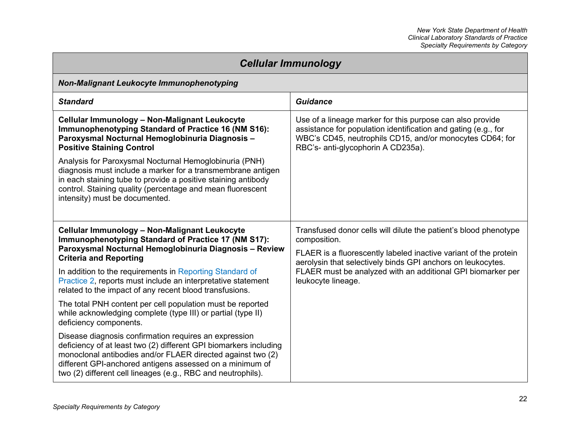| <b>Cellular Immunology</b>                                                                                                                                                                                                                                                                                            |                                                                                                                                                                                                                               |
|-----------------------------------------------------------------------------------------------------------------------------------------------------------------------------------------------------------------------------------------------------------------------------------------------------------------------|-------------------------------------------------------------------------------------------------------------------------------------------------------------------------------------------------------------------------------|
| <b>Non-Malignant Leukocyte Immunophenotyping</b>                                                                                                                                                                                                                                                                      |                                                                                                                                                                                                                               |
| <b>Standard</b>                                                                                                                                                                                                                                                                                                       | <b>Guidance</b>                                                                                                                                                                                                               |
| Cellular Immunology - Non-Malignant Leukocyte<br>Immunophenotyping Standard of Practice 16 (NM S16):<br>Paroxysmal Nocturnal Hemoglobinuria Diagnosis-<br><b>Positive Staining Control</b>                                                                                                                            | Use of a lineage marker for this purpose can also provide<br>assistance for population identification and gating (e.g., for<br>WBC's CD45, neutrophils CD15, and/or monocytes CD64; for<br>RBC's- anti-glycophorin A CD235a). |
| Analysis for Paroxysmal Nocturnal Hemoglobinuria (PNH)<br>diagnosis must include a marker for a transmembrane antigen<br>in each staining tube to provide a positive staining antibody<br>control. Staining quality (percentage and mean fluorescent<br>intensity) must be documented.                                |                                                                                                                                                                                                                               |
| Cellular Immunology - Non-Malignant Leukocyte<br>Immunophenotyping Standard of Practice 17 (NM S17):<br>Paroxysmal Nocturnal Hemoglobinuria Diagnosis - Review<br><b>Criteria and Reporting</b>                                                                                                                       | Transfused donor cells will dilute the patient's blood phenotype<br>composition.<br>FLAER is a fluorescently labeled inactive variant of the protein<br>aerolysin that selectively binds GPI anchors on leukocytes.           |
| In addition to the requirements in Reporting Standard of<br>Practice 2, reports must include an interpretative statement<br>related to the impact of any recent blood transfusions.                                                                                                                                   | FLAER must be analyzed with an additional GPI biomarker per<br>leukocyte lineage.                                                                                                                                             |
| The total PNH content per cell population must be reported<br>while acknowledging complete (type III) or partial (type II)<br>deficiency components.                                                                                                                                                                  |                                                                                                                                                                                                                               |
| Disease diagnosis confirmation requires an expression<br>deficiency of at least two (2) different GPI biomarkers including<br>monoclonal antibodies and/or FLAER directed against two (2)<br>different GPI-anchored antigens assessed on a minimum of<br>two (2) different cell lineages (e.g., RBC and neutrophils). |                                                                                                                                                                                                                               |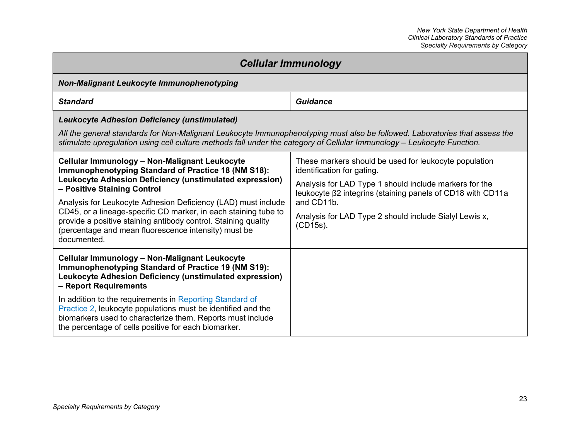| <b>Cellular Immunology</b>                                                                                                                                                                                                                                                                                                                                                                                                                                                  |                                                                                                                                                                                                                                                                                                 |
|-----------------------------------------------------------------------------------------------------------------------------------------------------------------------------------------------------------------------------------------------------------------------------------------------------------------------------------------------------------------------------------------------------------------------------------------------------------------------------|-------------------------------------------------------------------------------------------------------------------------------------------------------------------------------------------------------------------------------------------------------------------------------------------------|
| <b>Non-Malignant Leukocyte Immunophenotyping</b>                                                                                                                                                                                                                                                                                                                                                                                                                            |                                                                                                                                                                                                                                                                                                 |
| <b>Standard</b>                                                                                                                                                                                                                                                                                                                                                                                                                                                             | Guidance                                                                                                                                                                                                                                                                                        |
| <b>Leukocyte Adhesion Deficiency (unstimulated)</b><br>All the general standards for Non-Malignant Leukocyte Immunophenotyping must also be followed. Laboratories that assess the<br>stimulate upregulation using cell culture methods fall under the category of Cellular Immunology – Leukocyte Function.                                                                                                                                                                |                                                                                                                                                                                                                                                                                                 |
| Cellular Immunology - Non-Malignant Leukocyte<br>Immunophenotyping Standard of Practice 18 (NM S18):<br>Leukocyte Adhesion Deficiency (unstimulated expression)<br>- Positive Staining Control<br>Analysis for Leukocyte Adhesion Deficiency (LAD) must include<br>CD45, or a lineage-specific CD marker, in each staining tube to<br>provide a positive staining antibody control. Staining quality<br>(percentage and mean fluorescence intensity) must be<br>documented. | These markers should be used for leukocyte population<br>identification for gating.<br>Analysis for LAD Type 1 should include markers for the<br>leukocyte β2 integrins (staining panels of CD18 with CD11a<br>and CD11b.<br>Analysis for LAD Type 2 should include Sialyl Lewis x,<br>(CD15s). |
| Cellular Immunology - Non-Malignant Leukocyte<br>Immunophenotyping Standard of Practice 19 (NM S19):<br>Leukocyte Adhesion Deficiency (unstimulated expression)<br>- Report Requirements<br>In addition to the requirements in Reporting Standard of<br>Practice 2, leukocyte populations must be identified and the<br>biomarkers used to characterize them. Reports must include<br>the percentage of cells positive for each biomarker.                                  |                                                                                                                                                                                                                                                                                                 |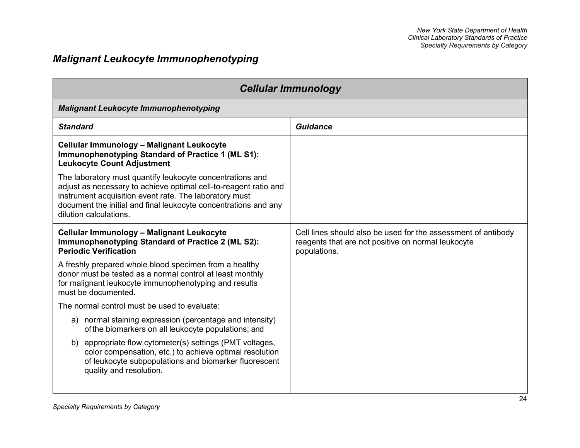# *Malignant Leukocyte Immunophenotyping*

| <b>Cellular Immunology</b>                                                                                                                                                                                                                                                           |                                                                                                                                     |  |
|--------------------------------------------------------------------------------------------------------------------------------------------------------------------------------------------------------------------------------------------------------------------------------------|-------------------------------------------------------------------------------------------------------------------------------------|--|
| <b>Malignant Leukocyte Immunophenotyping</b>                                                                                                                                                                                                                                         |                                                                                                                                     |  |
| <b>Standard</b>                                                                                                                                                                                                                                                                      | Guidance                                                                                                                            |  |
| Cellular Immunology - Malignant Leukocyte<br>Immunophenotyping Standard of Practice 1 (ML S1):<br><b>Leukocyte Count Adjustment</b>                                                                                                                                                  |                                                                                                                                     |  |
| The laboratory must quantify leukocyte concentrations and<br>adjust as necessary to achieve optimal cell-to-reagent ratio and<br>instrument acquisition event rate. The laboratory must<br>document the initial and final leukocyte concentrations and any<br>dilution calculations. |                                                                                                                                     |  |
| Cellular Immunology - Malignant Leukocyte<br>Immunophenotyping Standard of Practice 2 (ML S2):<br><b>Periodic Verification</b>                                                                                                                                                       | Cell lines should also be used for the assessment of antibody<br>reagents that are not positive on normal leukocyte<br>populations. |  |
| A freshly prepared whole blood specimen from a healthy<br>donor must be tested as a normal control at least monthly<br>for malignant leukocyte immunophenotyping and results<br>must be documented.                                                                                  |                                                                                                                                     |  |
| The normal control must be used to evaluate:                                                                                                                                                                                                                                         |                                                                                                                                     |  |
| normal staining expression (percentage and intensity)<br>a)<br>of the biomarkers on all leukocyte populations; and                                                                                                                                                                   |                                                                                                                                     |  |
| appropriate flow cytometer(s) settings (PMT voltages,<br>b)<br>color compensation, etc.) to achieve optimal resolution<br>of leukocyte subpopulations and biomarker fluorescent<br>quality and resolution.                                                                           |                                                                                                                                     |  |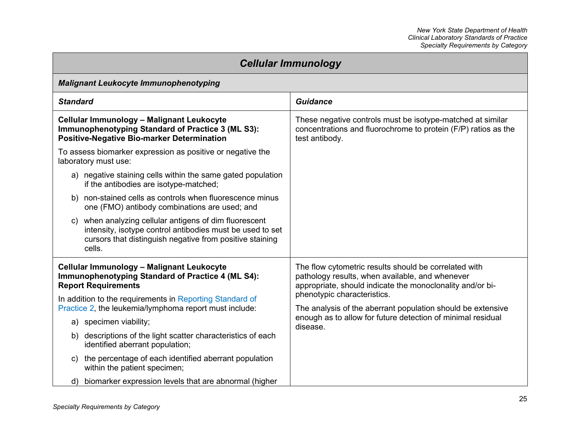| <b>Cellular Immunology</b>                                                                                                                                                                   |                                                                                                                                                                                                                                                                                                                                                |  |
|----------------------------------------------------------------------------------------------------------------------------------------------------------------------------------------------|------------------------------------------------------------------------------------------------------------------------------------------------------------------------------------------------------------------------------------------------------------------------------------------------------------------------------------------------|--|
| <b>Malignant Leukocyte Immunophenotyping</b>                                                                                                                                                 |                                                                                                                                                                                                                                                                                                                                                |  |
| <b>Standard</b>                                                                                                                                                                              | <b>Guidance</b>                                                                                                                                                                                                                                                                                                                                |  |
| Cellular Immunology - Malignant Leukocyte<br>Immunophenotyping Standard of Practice 3 (ML S3):<br><b>Positive-Negative Bio-marker Determination</b>                                          | These negative controls must be isotype-matched at similar<br>concentrations and fluorochrome to protein (F/P) ratios as the<br>test antibody.                                                                                                                                                                                                 |  |
| To assess biomarker expression as positive or negative the<br>laboratory must use:                                                                                                           |                                                                                                                                                                                                                                                                                                                                                |  |
| negative staining cells within the same gated population<br>a)<br>if the antibodies are isotype-matched;                                                                                     |                                                                                                                                                                                                                                                                                                                                                |  |
| non-stained cells as controls when fluorescence minus<br>b)<br>one (FMO) antibody combinations are used; and                                                                                 |                                                                                                                                                                                                                                                                                                                                                |  |
| when analyzing cellular antigens of dim fluorescent<br>C)<br>intensity, isotype control antibodies must be used to set<br>cursors that distinguish negative from positive staining<br>cells. |                                                                                                                                                                                                                                                                                                                                                |  |
| Cellular Immunology - Malignant Leukocyte<br>Immunophenotyping Standard of Practice 4 (ML S4):<br><b>Report Requirements</b>                                                                 | The flow cytometric results should be correlated with<br>pathology results, when available, and whenever<br>appropriate, should indicate the monoclonality and/or bi-<br>phenotypic characteristics.<br>The analysis of the aberrant population should be extensive<br>enough as to allow for future detection of minimal residual<br>disease. |  |
| In addition to the requirements in Reporting Standard of<br>Practice 2, the leukemia/lymphoma report must include:                                                                           |                                                                                                                                                                                                                                                                                                                                                |  |
| a) specimen viability;                                                                                                                                                                       |                                                                                                                                                                                                                                                                                                                                                |  |
| descriptions of the light scatter characteristics of each<br>b)<br>identified aberrant population;                                                                                           |                                                                                                                                                                                                                                                                                                                                                |  |
| the percentage of each identified aberrant population<br>C)<br>within the patient specimen;                                                                                                  |                                                                                                                                                                                                                                                                                                                                                |  |
| biomarker expression levels that are abnormal (higher<br>d)                                                                                                                                  |                                                                                                                                                                                                                                                                                                                                                |  |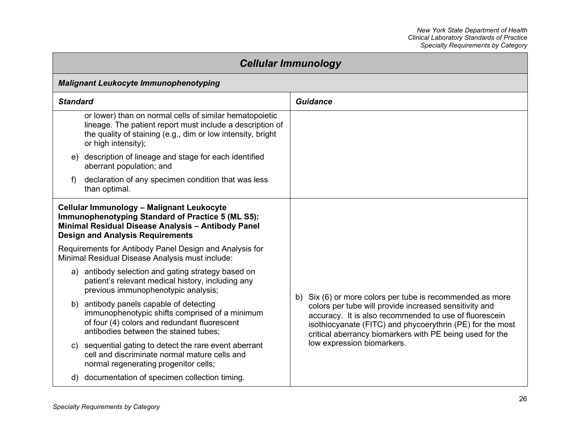| <b>Cellular Immunology</b>                                                                                                                                                                                 |                                                                                                                                                                                                                                                                                                                                      |  |
|------------------------------------------------------------------------------------------------------------------------------------------------------------------------------------------------------------|--------------------------------------------------------------------------------------------------------------------------------------------------------------------------------------------------------------------------------------------------------------------------------------------------------------------------------------|--|
| <b>Malignant Leukocyte Immunophenotyping</b>                                                                                                                                                               |                                                                                                                                                                                                                                                                                                                                      |  |
| <b>Standard</b>                                                                                                                                                                                            | <b>Guidance</b>                                                                                                                                                                                                                                                                                                                      |  |
| or lower) than on normal cells of similar hematopoietic<br>lineage. The patient report must include a description of<br>the quality of staining (e.g., dim or low intensity, bright<br>or high intensity); |                                                                                                                                                                                                                                                                                                                                      |  |
| e) description of lineage and stage for each identified<br>aberrant population; and                                                                                                                        |                                                                                                                                                                                                                                                                                                                                      |  |
| declaration of any specimen condition that was less<br>f)<br>than optimal.                                                                                                                                 |                                                                                                                                                                                                                                                                                                                                      |  |
| Cellular Immunology - Malignant Leukocyte<br><b>Immunophenotyping Standard of Practice 5 (ML S5):</b><br>Minimal Residual Disease Analysis - Antibody Panel<br><b>Design and Analysis Requirements</b>     |                                                                                                                                                                                                                                                                                                                                      |  |
| Requirements for Antibody Panel Design and Analysis for<br>Minimal Residual Disease Analysis must include:                                                                                                 |                                                                                                                                                                                                                                                                                                                                      |  |
| a) antibody selection and gating strategy based on<br>patient's relevant medical history, including any<br>previous immunophenotypic analysis;                                                             | b) Six (6) or more colors per tube is recommended as more<br>colors per tube will provide increased sensitivity and<br>accuracy. It is also recommended to use of fluorescein<br>isothiocyanate (FITC) and phycoerythrin (PE) for the most<br>critical aberrancy biomarkers with PE being used for the<br>low expression biomarkers. |  |
| b) antibody panels capable of detecting<br>immunophenotypic shifts comprised of a minimum<br>of four (4) colors and redundant fluorescent<br>antibodies between the stained tubes;                         |                                                                                                                                                                                                                                                                                                                                      |  |
| sequential gating to detect the rare event aberrant<br>C)<br>cell and discriminate normal mature cells and<br>normal regenerating progenitor cells;                                                        |                                                                                                                                                                                                                                                                                                                                      |  |
| d) documentation of specimen collection timing.                                                                                                                                                            |                                                                                                                                                                                                                                                                                                                                      |  |